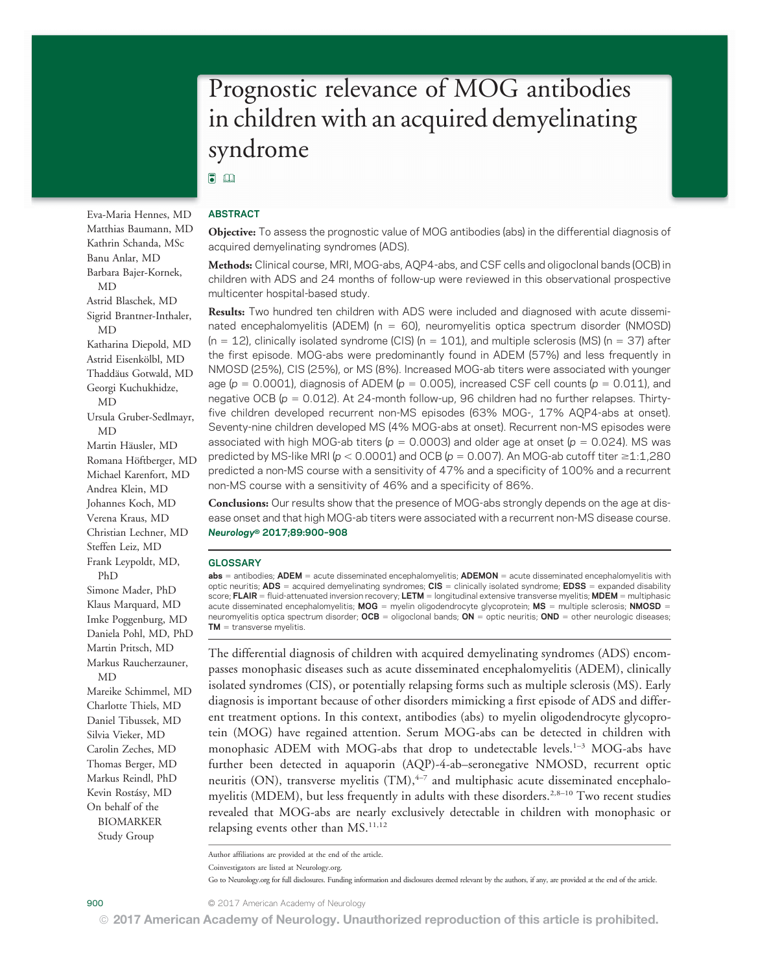# Prognostic relevance of MOG antibodies in children with an acquired demyelinating syndrome

# $\Box$

### ABSTRACT

Objective: To assess the prognostic value of MOG antibodies (abs) in the differential diagnosis of acquired demyelinating syndromes (ADS).

Methods: Clinical course, MRI, MOG-abs, AQP4-abs, and CSF cells and oligoclonal bands (OCB) in children with ADS and 24 months of follow-up were reviewed in this observational prospective multicenter hospital-based study.

Results: Two hundred ten children with ADS were included and diagnosed with acute disseminated encephalomyelitis (ADEM) ( $n = 60$ ), neuromyelitis optica spectrum disorder (NMOSD)  $(n = 12)$ , clinically isolated syndrome (CIS)  $(n = 101)$ , and multiple sclerosis (MS)  $(n = 37)$  after the first episode. MOG-abs were predominantly found in ADEM (57%) and less frequently in NMOSD (25%), CIS (25%), or MS (8%). Increased MOG-ab titers were associated with younger age ( $p = 0.0001$ ), diagnosis of ADEM ( $p = 0.005$ ), increased CSF cell counts ( $p = 0.011$ ), and negative OCB ( $p = 0.012$ ). At 24-month follow-up, 96 children had no further relapses. Thirtyfive children developed recurrent non-MS episodes (63% MOG-, 17% AQP4-abs at onset). Seventy-nine children developed MS (4% MOG-abs at onset). Recurrent non-MS episodes were associated with high MOG-ab titers ( $p = 0.0003$ ) and older age at onset ( $p = 0.024$ ). MS was predicted by MS-like MRI ( $p < 0.0001$ ) and OCB ( $p = 0.007$ ). An MOG-ab cutoff titer  $\geq 1:1,280$ predicted a non-MS course with a sensitivity of 47% and a specificity of 100% and a recurrent non-MS course with a sensitivity of 46% and a specificity of 86%.

Conclusions: Our results show that the presence of MOG-abs strongly depends on the age at disease onset and that high MOG-ab titers were associated with a recurrent non-MS disease course. Neurology® 2017;89:900–<sup>908</sup>

#### **GLOSSARY**

 $abs =$  antibodies; ADEM = acute disseminated encephalomyelitis; ADEMON = acute disseminated encephalomyelitis with optic neuritis; ADS = acquired demyelinating syndromes;  $CIS$  = clinically isolated syndrome;  $EDSS$  = expanded disability score; FLAIR = fluid-attenuated inversion recovery; LETM = longitudinal extensive transverse myelitis; MDEM = multiphasic acute disseminated encephalomyelitis;  $MOG =$  myelin oligodendrocyte glycoprotein;  $MS =$  multiple sclerosis; NMOSD = neuromyelitis optica spectrum disorder; OCB = oligoclonal bands; ON = optic neuritis; OND = other neurologic diseases;  $TM =$  transverse myelitis.

The differential diagnosis of children with acquired demyelinating syndromes (ADS) encompasses monophasic diseases such as acute disseminated encephalomyelitis (ADEM), clinically isolated syndromes (CIS), or potentially relapsing forms such as multiple sclerosis (MS). Early diagnosis is important because of other disorders mimicking a first episode of ADS and different treatment options. In this context, antibodies (abs) to myelin oligodendrocyte glycoprotein (MOG) have regained attention. Serum MOG-abs can be detected in children with monophasic ADEM with MOG-abs that drop to undetectable levels.<sup>1-3</sup> MOG-abs have further been detected in aquaporin (AQP)-4-ab–seronegative NMOSD, recurrent optic neuritis (ON), transverse myelitis  $(TM)$ ,  $4-7$  and multiphasic acute disseminated encephalomyelitis (MDEM), but less frequently in adults with these disorders.<sup>2,8-10</sup> Two recent studies revealed that MOG-abs are nearly exclusively detectable in children with monophasic or relapsing events other than MS.<sup>11,12</sup>

Author affiliations are provided at the end of the article. Coinvestigators are listed at [Neurology.org](http://neurology.org/lookup/doi/10.1212/WNL.0000000000004312).

Go to [Neurology.org](http://neurology.org/lookup/doi/10.1212/WNL.0000000000004312) for full disclosures. Funding information and disclosures deemed relevant by the authors, if any, are provided at the end of the article.

Matthias Baumann, MD Kathrin Schanda, MSc Banu Anlar, MD Barbara Bajer-Kornek, MD Astrid Blaschek, MD Sigrid Brantner-Inthaler, MD Katharina Diepold, MD Astrid Eisenkölbl, MD Thaddäus Gotwald, MD Georgi Kuchukhidze, MD Ursula Gruber-Sedlmayr, MD Martin Häusler, MD Romana Höftberger, MD Michael Karenfort, MD Andrea Klein, MD Johannes Koch, MD Verena Kraus, MD Christian Lechner, MD Steffen Leiz, MD Frank Leypoldt, MD, PhD Simone Mader, PhD Klaus Marquard, MD Imke Poggenburg, MD Daniela Pohl, MD, PhD Martin Pritsch, MD Markus Raucherzauner, MD Mareike Schimmel, MD Charlotte Thiels, MD Daniel Tibussek, MD Silvia Vieker, MD Carolin Zeches, MD Thomas Berger, MD Markus Reindl, PhD Kevin Rostásy, MD On behalf of the BIOMARKER

Eva-Maria Hennes, MD

Study Group

900 © 2017 American Academy of Neurology

© 2017 American Academy of Neurology. Unauthorized reproduction of this article is prohibited.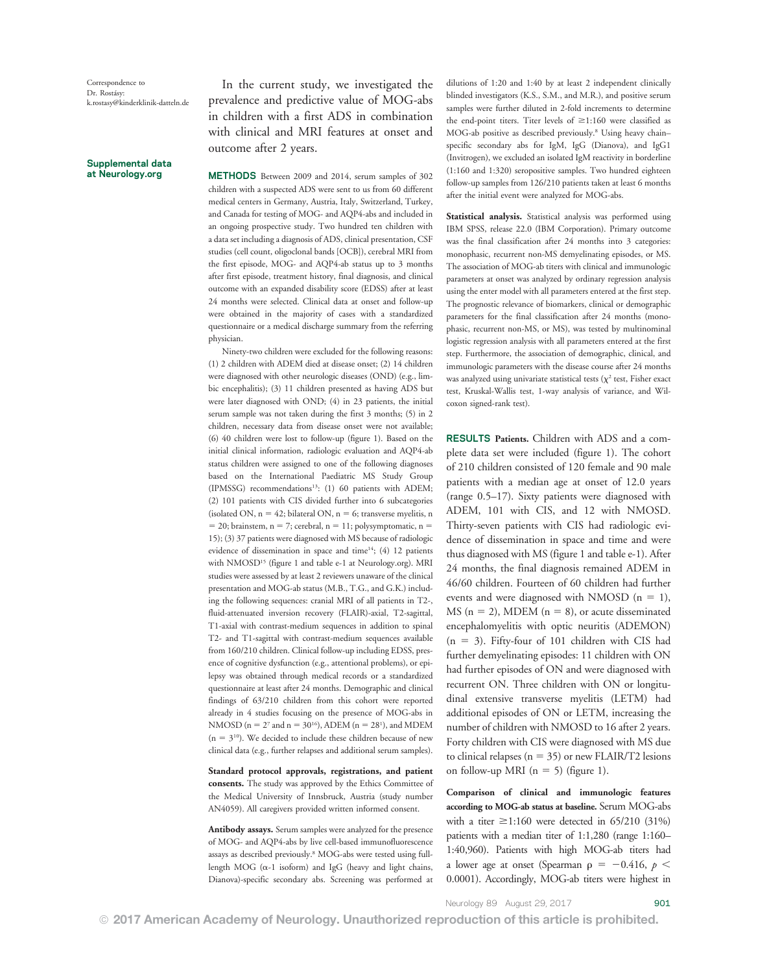#### Supplemental data at [Neurology.org](http://neurology.org/lookup/doi/10.1212/WNL.0000000000004312)

In the current study, we investigated the prevalence and predictive value of MOG-abs in children with a first ADS in combination with clinical and MRI features at onset and outcome after 2 years.

METHODS Between 2009 and 2014, serum samples of 302 children with a suspected ADS were sent to us from 60 different medical centers in Germany, Austria, Italy, Switzerland, Turkey, and Canada for testing of MOG- and AQP4-abs and included in an ongoing prospective study. Two hundred ten children with a data set including a diagnosis of ADS, clinical presentation, CSF studies (cell count, oligoclonal bands [OCB]), cerebral MRI from the first episode, MOG- and AQP4-ab status up to 3 months after first episode, treatment history, final diagnosis, and clinical outcome with an expanded disability score (EDSS) after at least 24 months were selected. Clinical data at onset and follow-up were obtained in the majority of cases with a standardized questionnaire or a medical discharge summary from the referring physician.

Ninety-two children were excluded for the following reasons: (1) 2 children with ADEM died at disease onset; (2) 14 children were diagnosed with other neurologic diseases (OND) (e.g., limbic encephalitis); (3) 11 children presented as having ADS but were later diagnosed with OND; (4) in 23 patients, the initial serum sample was not taken during the first 3 months; (5) in 2 children, necessary data from disease onset were not available; (6) 40 children were lost to follow-up (figure 1). Based on the initial clinical information, radiologic evaluation and AQP4-ab status children were assigned to one of the following diagnoses based on the International Paediatric MS Study Group (IPMSSG) recommendations<sup>13</sup>: (1) 60 patients with ADEM; (2) 101 patients with CIS divided further into 6 subcategories (isolated ON,  $n = 42$ ; bilateral ON,  $n = 6$ ; transverse myelitis, n  $= 20$ ; brainstem, n = 7; cerebral, n = 11; polysymptomatic, n = 15); (3) 37 patients were diagnosed with MS because of radiologic evidence of dissemination in space and time<sup>14</sup>; (4) 12 patients with NMOSD<sup>15</sup> (figure 1 and table e-1 at [Neurology.org\)](http://neurology.org/lookup/doi/10.1212/WNL.0000000000004312). MRI studies were assessed by at least 2 reviewers unaware of the clinical presentation and MOG-ab status (M.B., T.G., and G.K.) including the following sequences: cranial MRI of all patients in T2-, fluid-attenuated inversion recovery (FLAIR)-axial, T2-sagittal, T1-axial with contrast-medium sequences in addition to spinal T2- and T1-sagittal with contrast-medium sequences available from 160/210 children. Clinical follow-up including EDSS, presence of cognitive dysfunction (e.g., attentional problems), or epilepsy was obtained through medical records or a standardized questionnaire at least after 24 months. Demographic and clinical findings of 63/210 children from this cohort were reported already in 4 studies focusing on the presence of MOG-abs in NMOSD ( $n = 2^7$  and  $n = 30^{16}$ ), ADEM ( $n = 28^1$ ), and MDEM  $(n = 3<sup>10</sup>)$ . We decided to include these children because of new clinical data (e.g., further relapses and additional serum samples).

Standard protocol approvals, registrations, and patient consents. The study was approved by the Ethics Committee of the Medical University of Innsbruck, Austria (study number AN4059). All caregivers provided written informed consent.

Antibody assays. Serum samples were analyzed for the presence of MOG- and AQP4-abs by live cell-based immunofluorescence assays as described previously.8 MOG-abs were tested using fulllength MOG ( $\alpha$ -1 isoform) and IgG (heavy and light chains, Dianova)-specific secondary abs. Screening was performed at dilutions of 1:20 and 1:40 by at least 2 independent clinically blinded investigators (K.S., S.M., and M.R.), and positive serum samples were further diluted in 2-fold increments to determine the end-point titers. Titer levels of  $\geq$ 1:160 were classified as MOG-ab positive as described previously.<sup>8</sup> Using heavy chainspecific secondary abs for IgM, IgG (Dianova), and IgG1 (Invitrogen), we excluded an isolated IgM reactivity in borderline (1:160 and 1:320) seropositive samples. Two hundred eighteen follow-up samples from 126/210 patients taken at least 6 months after the initial event were analyzed for MOG-abs.

Statistical analysis. Statistical analysis was performed using IBM SPSS, release 22.0 (IBM Corporation). Primary outcome was the final classification after 24 months into 3 categories: monophasic, recurrent non-MS demyelinating episodes, or MS. The association of MOG-ab titers with clinical and immunologic parameters at onset was analyzed by ordinary regression analysis using the enter model with all parameters entered at the first step. The prognostic relevance of biomarkers, clinical or demographic parameters for the final classification after 24 months (monophasic, recurrent non-MS, or MS), was tested by multinominal logistic regression analysis with all parameters entered at the first step. Furthermore, the association of demographic, clinical, and immunologic parameters with the disease course after 24 months was analyzed using univariate statistical tests  $(\chi^2 \text{ test}, \text{Fisher exact})$ test, Kruskal-Wallis test, 1-way analysis of variance, and Wilcoxon signed-rank test).

RESULTS Patients. Children with ADS and a complete data set were included (figure 1). The cohort of 210 children consisted of 120 female and 90 male patients with a median age at onset of 12.0 years (range 0.5–17). Sixty patients were diagnosed with ADEM, 101 with CIS, and 12 with NMOSD. Thirty-seven patients with CIS had radiologic evidence of dissemination in space and time and were thus diagnosed with MS (figure 1 and table e-1). After 24 months, the final diagnosis remained ADEM in 46/60 children. Fourteen of 60 children had further events and were diagnosed with NMOSD  $(n = 1)$ , MS ( $n = 2$ ), MDEM ( $n = 8$ ), or acute disseminated encephalomyelitis with optic neuritis (ADEMON)  $(n = 3)$ . Fifty-four of 101 children with CIS had further demyelinating episodes: 11 children with ON had further episodes of ON and were diagnosed with recurrent ON. Three children with ON or longitudinal extensive transverse myelitis (LETM) had additional episodes of ON or LETM, increasing the number of children with NMOSD to 16 after 2 years. Forty children with CIS were diagnosed with MS due to clinical relapses ( $n = 35$ ) or new FLAIR/T2 lesions on follow-up MRI ( $n = 5$ ) (figure 1).

Comparison of clinical and immunologic features according to MOG-ab status at baseline. Serum MOG-abs with a titer  $\geq$ 1:160 were detected in 65/210 (31%) patients with a median titer of 1:1,280 (range 1:160– 1:40,960). Patients with high MOG-ab titers had a lower age at onset (Spearman  $p = -0.416$ ,  $p <$ 0.0001). Accordingly, MOG-ab titers were highest in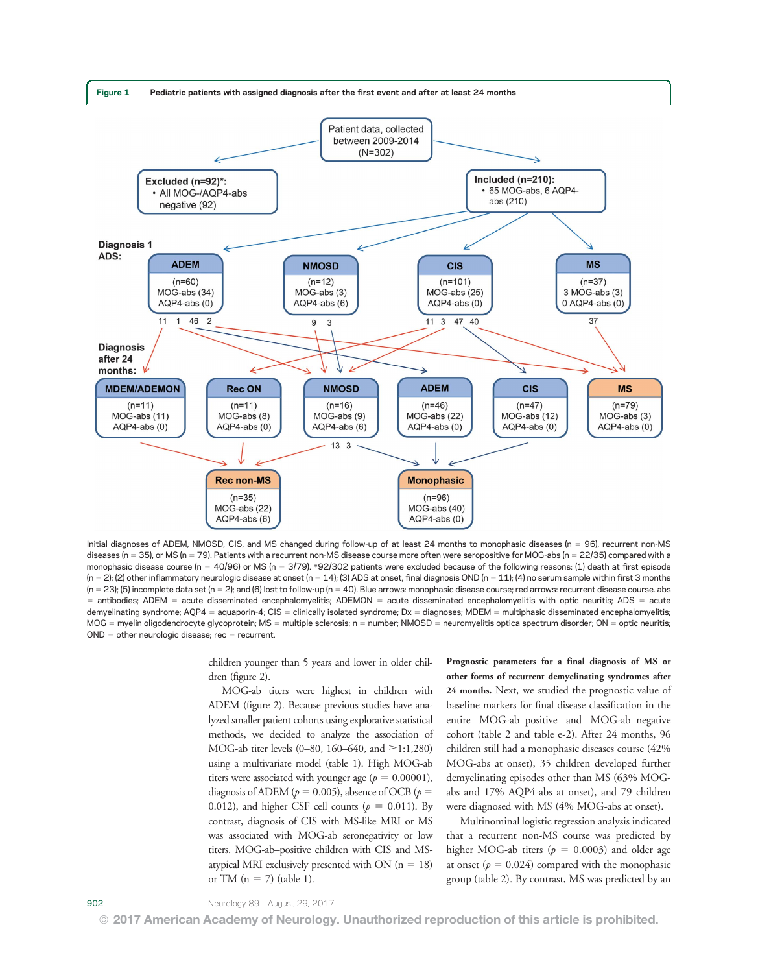



Initial diagnoses of ADEM, NMOSD, CIS, and MS changed during follow-up of at least 24 months to monophasic diseases (n = 96), recurrent non-MS diseases (n = 35), or MS (n = 79). Patients with a recurrent non-MS disease course more often were seropositive for MOG-abs (n = 22/35) compared with a monophasic disease course (n = 40/96) or MS (n = 3/79). \*92/302 patients were excluded because of the following reasons: (1) death at first episode  $(n = 2)$ ; (2) other inflammatory neurologic disease at onset  $(n = 14)$ ; (3) ADS at onset, final diagnosis OND  $(n = 11)$ ; (4) no serum sample within first 3 months  $(n = 23)$ ; (5) incomplete data set  $(n = 2)$ ; and (6) lost to follow-up  $(n = 40)$ . Blue arrows: monophasic disease course; red arrows: recurrent disease course. abs = antibodies; ADEM = acute disseminated encephalomyelitis; ADEMON = acute disseminated encephalomyelitis with optic neuritis; ADS = acute demyelinating syndrome; AQP4 = aquaporin-4; CIS = clinically isolated syndrome; Dx = diagnoses; MDEM = multiphasic disseminated encephalomyelitis; MOG = myelin oligodendrocyte glycoprotein; MS = multiple sclerosis; n = number; NMOSD = neuromyelitis optica spectrum disorder; ON = optic neuritis;  $OND = other neurologic disease; rec = recurrent.$ 

children younger than 5 years and lower in older children (figure 2).

MOG-ab titers were highest in children with ADEM (figure 2). Because previous studies have analyzed smaller patient cohorts using explorative statistical methods, we decided to analyze the association of MOG-ab titer levels (0–80, 160–640, and  $\geq$ 1:1,280) using a multivariate model (table 1). High MOG-ab titers were associated with younger age ( $p = 0.00001$ ), diagnosis of ADEM ( $p = 0.005$ ), absence of OCB ( $p =$ 0.012), and higher CSF cell counts ( $p = 0.011$ ). By contrast, diagnosis of CIS with MS-like MRI or MS was associated with MOG-ab seronegativity or low titers. MOG-ab–positive children with CIS and MSatypical MRI exclusively presented with ON  $(n = 18)$ or TM ( $n = 7$ ) (table 1).

Prognostic parameters for a final diagnosis of MS or other forms of recurrent demyelinating syndromes after 24 months. Next, we studied the prognostic value of baseline markers for final disease classification in the entire MOG-ab–positive and MOG-ab–negative cohort (table 2 and table e-2). After 24 months, 96 children still had a monophasic diseases course (42% MOG-abs at onset), 35 children developed further demyelinating episodes other than MS (63% MOGabs and 17% AQP4-abs at onset), and 79 children were diagnosed with MS (4% MOG-abs at onset).

Multinominal logistic regression analysis indicated that a recurrent non-MS course was predicted by higher MOG-ab titers ( $p = 0.0003$ ) and older age at onset ( $p = 0.024$ ) compared with the monophasic group (table 2). By contrast, MS was predicted by an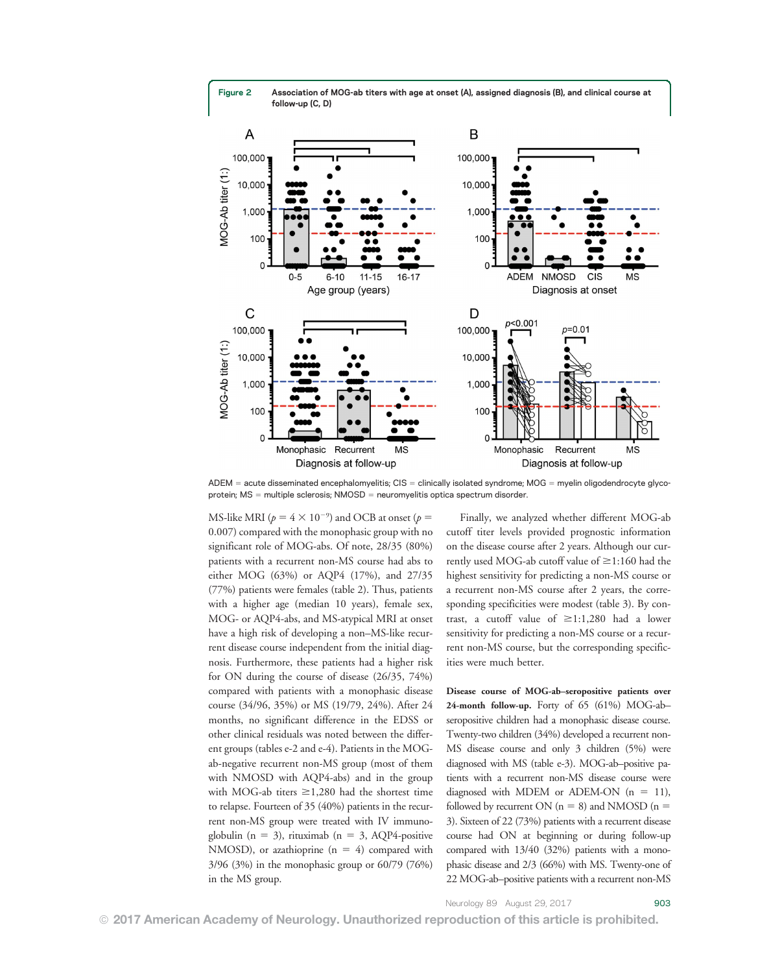Figure 2 Association of MOG-ab titers with age at onset (A), assigned diagnosis (B), and clinical course at follow-up (C, D)



 $ADEM =$  acute disseminated encephalomyelitis;  $CIS =$  clinically isolated syndrome; MOG = myelin oligodendrocyte glycoprotein;  $MS =$  multiple sclerosis;  $NMOSD =$  neuromyelitis optica spectrum disorder.

MS-like MRI ( $p = 4 \times 10^{-9}$ ) and OCB at onset ( $p =$ 0.007) compared with the monophasic group with no significant role of MOG-abs. Of note, 28/35 (80%) patients with a recurrent non-MS course had abs to either MOG (63%) or AQP4 (17%), and 27/35 (77%) patients were females (table 2). Thus, patients with a higher age (median 10 years), female sex, MOG- or AQP4-abs, and MS-atypical MRI at onset have a high risk of developing a non–MS-like recurrent disease course independent from the initial diagnosis. Furthermore, these patients had a higher risk for ON during the course of disease (26/35, 74%) compared with patients with a monophasic disease course (34/96, 35%) or MS (19/79, 24%). After 24 months, no significant difference in the EDSS or other clinical residuals was noted between the different groups (tables e-2 and e-4). Patients in the MOGab-negative recurrent non-MS group (most of them with NMOSD with AQP4-abs) and in the group with MOG-ab titers  $\geq 1,280$  had the shortest time to relapse. Fourteen of 35 (40%) patients in the recurrent non-MS group were treated with IV immunoglobulin ( $n = 3$ ), rituximab ( $n = 3$ , AQP4-positive NMOSD), or azathioprine  $(n = 4)$  compared with 3/96 (3%) in the monophasic group or 60/79 (76%) in the MS group.

Finally, we analyzed whether different MOG-ab cutoff titer levels provided prognostic information on the disease course after 2 years. Although our currently used MOG-ab cutoff value of  $\geq$ 1:160 had the highest sensitivity for predicting a non-MS course or a recurrent non-MS course after 2 years, the corresponding specificities were modest (table 3). By contrast, a cutoff value of  $\geq 1:1,280$  had a lower sensitivity for predicting a non-MS course or a recurrent non-MS course, but the corresponding specificities were much better.

Disease course of MOG-ab–seropositive patients over 24-month follow-up. Forty of 65 (61%) MOG-ab– seropositive children had a monophasic disease course. Twenty-two children (34%) developed a recurrent non-MS disease course and only 3 children (5%) were diagnosed with MS (table e-3). MOG-ab–positive patients with a recurrent non-MS disease course were diagnosed with MDEM or ADEM-ON  $(n = 11)$ , followed by recurrent ON ( $n = 8$ ) and NMOSD ( $n =$ 3). Sixteen of 22 (73%) patients with a recurrent disease course had ON at beginning or during follow-up compared with 13/40 (32%) patients with a monophasic disease and 2/3 (66%) with MS. Twenty-one of 22 MOG-ab–positive patients with a recurrent non-MS

Neurology 89 August 29, 2017 903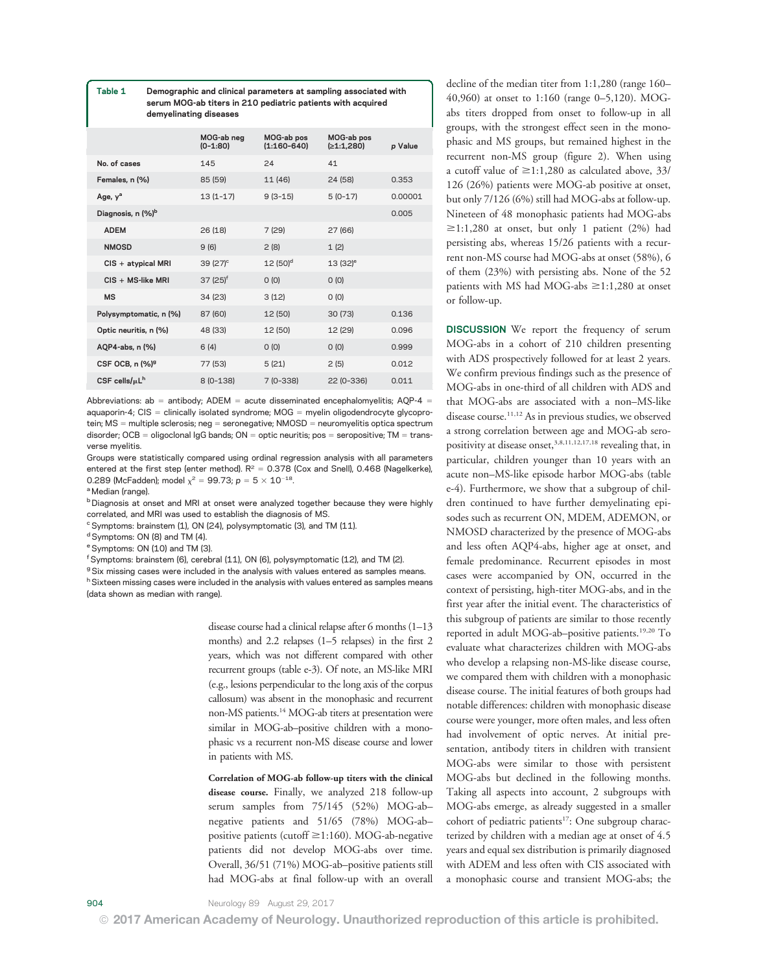Table 1 Demographic and clinical parameters at sampling associated with serum MOG-ab titers in 210 pediatric patients with acquired demyelinating diseases

|                                 | MOG-ab neg<br>$(0-1:80)$ | MOG-ab pos<br>$(1:160-640)$ | MOG-ab pos<br>(≥1:1,280) | p Value |
|---------------------------------|--------------------------|-----------------------------|--------------------------|---------|
| No. of cases                    | 145                      | 24                          | 41                       |         |
| Females, n (%)                  | 85 (59)                  | 11 (46)                     | 24 (58)                  | 0.353   |
| Age, y <sup>a</sup>             | $13(1-17)$               | $9(3-15)$                   | $5(0-17)$                | 0.00001 |
| Diagnosis, n (%) <sup>b</sup>   |                          |                             |                          | 0.005   |
| <b>ADEM</b>                     | 26(18)                   | 7(29)                       | 27 (66)                  |         |
| <b>NMOSD</b>                    | 9(6)                     | 2(8)                        | 1(2)                     |         |
| CIS + atypical MRI              | 39 $(27)^{\circ}$        | $12(50)^d$                  | $13(32)$ <sup>e</sup>    |         |
| $CIS + MS$ -like MRI            | $37(25)^{f}$             | O(0)                        | O(0)                     |         |
| <b>MS</b>                       | 34(23)                   | 3(12)                       | O(0)                     |         |
| Polysymptomatic, n (%)          | 87 (60)                  | 12 (50)                     | 30(73)                   | 0.136   |
| Optic neuritis, n (%)           | 48 (33)                  | 12 (50)                     | 12 (29)                  | 0.096   |
| AQP4-abs, n (%)                 | 6(4)                     | O(0)                        | O(0)                     | 0.999   |
| CSF OCB, n (%) <sup>9</sup>     | 77 (53)                  | 5(21)                       | 2(5)                     | 0.012   |
| CSF cells/ $\mu$ L <sup>h</sup> | $8(0-138)$               | $7(0-338)$                  | 22 (0-336)               | 0.011   |

Abbreviations: ab = antibody; ADEM = acute disseminated encephalomyelitis; AQP-4 = aquaporin-4;  $CIS =$  clinically isolated syndrome; MOG = myelin oligodendrocyte glycoprotein; MS = multiple sclerosis; neg = seronegative; NMOSD = neuromyelitis optica spectrum disorder; OCB = oligoclonal IgG bands; ON = optic neuritis; pos = seropositive; TM = transverse myelitis.

Groups were statistically compared using ordinal regression analysis with all parameters entered at the first step (enter method).  $R^2 = 0.378$  (Cox and Snell), 0.468 (Nagelkerke), 0.289 (McFadden); model  $\chi^2 = 99.73$ ; p =  $5 \times 10^{-18}$ .

a Median (range).

<sup>b</sup> Diagnosis at onset and MRI at onset were analyzed together because they were highly correlated, and MRI was used to establish the diagnosis of MS.

<sup>c</sup> Symptoms: brainstem (1), ON (24), polysymptomatic (3), and TM (11).

<sup>d</sup> Symptoms: ON (8) and TM (4).

<sup>e</sup> Symptoms: ON (10) and TM (3).

f Symptoms: brainstem (6), cerebral (11), ON (6), polysymptomatic (12), and TM (2).

<sup>g</sup> Six missing cases were included in the analysis with values entered as samples means. h Sixteen missing cases were included in the analysis with values entered as samples means (data shown as median with range).

> disease course had a clinical relapse after 6 months (1–13 months) and 2.2 relapses (1–5 relapses) in the first 2 years, which was not different compared with other recurrent groups (table e-3). Of note, an MS-like MRI (e.g., lesions perpendicular to the long axis of the corpus callosum) was absent in the monophasic and recurrent non-MS patients.14 MOG-ab titers at presentation were similar in MOG-ab–positive children with a monophasic vs a recurrent non-MS disease course and lower in patients with MS.

> Correlation of MOG-ab follow-up titers with the clinical disease course. Finally, we analyzed 218 follow-up serum samples from 75/145 (52%) MOG-ab– negative patients and 51/65 (78%) MOG-ab– positive patients (cutoff  $\geq$ 1:160). MOG-ab-negative patients did not develop MOG-abs over time. Overall, 36/51 (71%) MOG-ab–positive patients still had MOG-abs at final follow-up with an overall

decline of the median titer from 1:1,280 (range 160– 40,960) at onset to 1:160 (range 0–5,120). MOGabs titers dropped from onset to follow-up in all groups, with the strongest effect seen in the monophasic and MS groups, but remained highest in the recurrent non-MS group (figure 2). When using a cutoff value of  $\geq$ 1:1,280 as calculated above, 33/ 126 (26%) patients were MOG-ab positive at onset, but only 7/126 (6%) still had MOG-abs at follow-up. Nineteen of 48 monophasic patients had MOG-abs  $\geq$ 1:1,280 at onset, but only 1 patient (2%) had persisting abs, whereas 15/26 patients with a recurrent non-MS course had MOG-abs at onset (58%), 6 of them (23%) with persisting abs. None of the 52 patients with MS had MOG-abs  $\geq$ 1:1,280 at onset or follow-up.

**DISCUSSION** We report the frequency of serum MOG-abs in a cohort of 210 children presenting with ADS prospectively followed for at least 2 years. We confirm previous findings such as the presence of MOG-abs in one-third of all children with ADS and that MOG-abs are associated with a non–MS-like disease course.<sup>11,12</sup> As in previous studies, we observed a strong correlation between age and MOG-ab seropositivity at disease onset,<sup>3,8,11,12,17,18</sup> revealing that, in particular, children younger than 10 years with an acute non–MS-like episode harbor MOG-abs (table e-4). Furthermore, we show that a subgroup of children continued to have further demyelinating episodes such as recurrent ON, MDEM, ADEMON, or NMOSD characterized by the presence of MOG-abs and less often AQP4-abs, higher age at onset, and female predominance. Recurrent episodes in most cases were accompanied by ON, occurred in the context of persisting, high-titer MOG-abs, and in the first year after the initial event. The characteristics of this subgroup of patients are similar to those recently reported in adult MOG-ab-positive patients.<sup>19,20</sup> To evaluate what characterizes children with MOG-abs who develop a relapsing non-MS-like disease course, we compared them with children with a monophasic disease course. The initial features of both groups had notable differences: children with monophasic disease course were younger, more often males, and less often had involvement of optic nerves. At initial presentation, antibody titers in children with transient MOG-abs were similar to those with persistent MOG-abs but declined in the following months. Taking all aspects into account, 2 subgroups with MOG-abs emerge, as already suggested in a smaller cohort of pediatric patients<sup>17</sup>: One subgroup characterized by children with a median age at onset of 4.5 years and equal sex distribution is primarily diagnosed with ADEM and less often with CIS associated with a monophasic course and transient MOG-abs; the

© 2017 American Academy of Neurology. Unauthorized reproduction of this article is prohibited.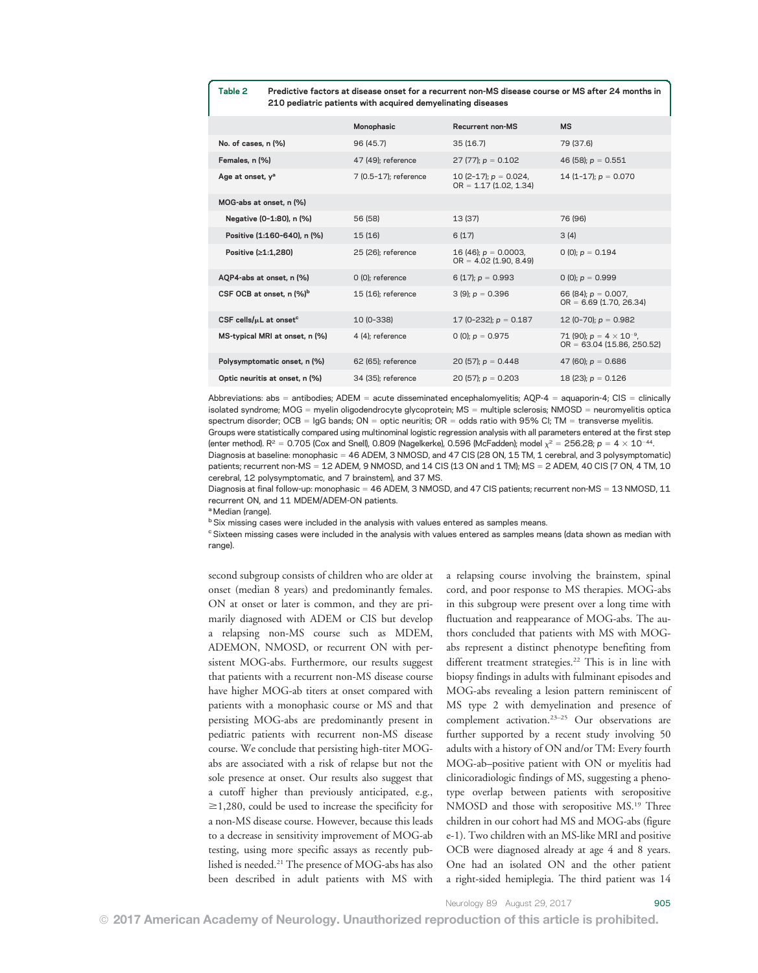#### Table 2 Predictive factors at disease onset for a recurrent non-MS disease course or MS after 24 months in 210 pediatric patients with acquired demyelinating diseases

|                                          | Monophasic            | Recurrent non-MS                                     | <b>MS</b>                                                         |
|------------------------------------------|-----------------------|------------------------------------------------------|-------------------------------------------------------------------|
| No. of cases, n (%)                      | 96 (45.7)             | 35(16.7)                                             | 79 (37.6)                                                         |
| Females, n (%)                           | 47 (49); reference    | 27 (77); $p = 0.102$                                 | 46 (58); $p = 0.551$                                              |
| Age at onset, y <sup>a</sup>             | 7 (0.5-17); reference | 10 (2-17); $p = 0.024$ ,<br>$OR = 1.17 (1.02, 1.34)$ | 14 (1-17); $p = 0.070$                                            |
| MOG-abs at onset, n (%)                  |                       |                                                      |                                                                   |
| Negative (0-1:80), n (%)                 | 56 (58)               | 13 (37)                                              | 76 (96)                                                           |
| Positive (1:160-640), n (%)              | 15(16)                | 6(17)                                                | 3(4)                                                              |
| Positive (≥1:1,280)                      | 25 (26); reference    | 16 (46); $p = 0.0003$ ,<br>$OR = 4.02$ (1.90, 8.49)  | 0 (0); $p = 0.194$                                                |
| AQP4-abs at onset, n (%)                 | $0$ (0); reference    | 6 (17); $p = 0.993$                                  | 0 (0); $p = 0.999$                                                |
| CSF OCB at onset, n (%) <sup>b</sup>     | 15 (16); reference    | $3(9)$ ; $p = 0.396$                                 | 66 (84); $p = 0.007$ ,<br>$OR = 6.69$ (1.70, 26.34)               |
| CSF cells/ $\mu$ L at onset <sup>c</sup> | 10 (0-338)            | 17 (0-232); $p = 0.187$                              | 12 (0-70); $p = 0.982$                                            |
| MS-typical MRI at onset, n (%)           | 4 (4); reference      | 0 (0); $p = 0.975$                                   | 71 (90); $p = 4 \times 10^{-9}$ ,<br>$OR = 63.04 (15.86, 250.52)$ |
| Polysymptomatic onset, n (%)             | 62 (65): reference    | 20 (57); $p = 0.448$                                 | 47 (60); $p = 0.686$                                              |
| Optic neuritis at onset, n (%)           | 34 (35); reference    | 20 (57); $p = 0.203$                                 | 18 (23); $p = 0.126$                                              |
|                                          |                       |                                                      |                                                                   |

Abbreviations: abs = antibodies; ADEM = acute disseminated encephalomyelitis; AQP-4 = aquaporin-4; CIS = clinically isolated syndrome;  $MOG =$  myelin oligodendrocyte glycoprotein;  $MS =$  multiple sclerosis;  $NMOSD =$  neuromyelitis optica spectrum disorder; OCB =  $\log$  bands; ON = optic neuritis; OR = odds ratio with 95% CI; TM = transverse myelitis. Groups were statistically compared using multinominal logistic regression analysis with all parameters entered at the first step (enter method). R<sup>2</sup> = 0.705 (Cox and Snell), 0.809 (Nagelkerke), 0.596 (McFadden); model  $\chi^2$  = 256.28; p = 4  $\times$  10<sup>-44</sup>. Diagnosis at baseline: monophasic = 46 ADEM, 3 NMOSD, and 47 CIS (28 ON, 15 TM, 1 cerebral, and 3 polysymptomatic) patients; recurrent non-MS = 12 ADEM, 9 NMOSD, and 14 CIS (13 ON and 1 TM); MS = 2 ADEM, 40 CIS (7 ON, 4 TM, 10

cerebral, 12 polysymptomatic, and 7 brainstem), and 37 MS.

Diagnosis at final follow-up: monophasic = 46 ADEM, 3 NMOSD, and 47 CIS patients; recurrent non-MS = 13 NMOSD, 11 recurrent ON, and 11 MDEM/ADEM-ON patients.

<sup>a</sup> Median (range).

<sup>b</sup> Six missing cases were included in the analysis with values entered as samples means.

<sup>c</sup> Sixteen missing cases were included in the analysis with values entered as samples means (data shown as median with range).

second subgroup consists of children who are older at onset (median 8 years) and predominantly females. ON at onset or later is common, and they are primarily diagnosed with ADEM or CIS but develop a relapsing non-MS course such as MDEM, ADEMON, NMOSD, or recurrent ON with persistent MOG-abs. Furthermore, our results suggest that patients with a recurrent non-MS disease course have higher MOG-ab titers at onset compared with patients with a monophasic course or MS and that persisting MOG-abs are predominantly present in pediatric patients with recurrent non-MS disease course. We conclude that persisting high-titer MOGabs are associated with a risk of relapse but not the sole presence at onset. Our results also suggest that a cutoff higher than previously anticipated, e.g.,  $\geq$ 1,280, could be used to increase the specificity for a non-MS disease course. However, because this leads to a decrease in sensitivity improvement of MOG-ab testing, using more specific assays as recently published is needed.21 The presence of MOG-abs has also been described in adult patients with MS with a relapsing course involving the brainstem, spinal cord, and poor response to MS therapies. MOG-abs in this subgroup were present over a long time with fluctuation and reappearance of MOG-abs. The authors concluded that patients with MS with MOGabs represent a distinct phenotype benefiting from different treatment strategies.<sup>22</sup> This is in line with biopsy findings in adults with fulminant episodes and MOG-abs revealing a lesion pattern reminiscent of MS type 2 with demyelination and presence of complement activation.<sup>23-25</sup> Our observations are further supported by a recent study involving 50 adults with a history of ON and/or TM: Every fourth MOG-ab–positive patient with ON or myelitis had clinicoradiologic findings of MS, suggesting a phenotype overlap between patients with seropositive NMOSD and those with seropositive MS.<sup>19</sup> Three children in our cohort had MS and MOG-abs (figure e-1). Two children with an MS-like MRI and positive OCB were diagnosed already at age 4 and 8 years. One had an isolated ON and the other patient a right-sided hemiplegia. The third patient was 14

Neurology 89 August 29, 2017 905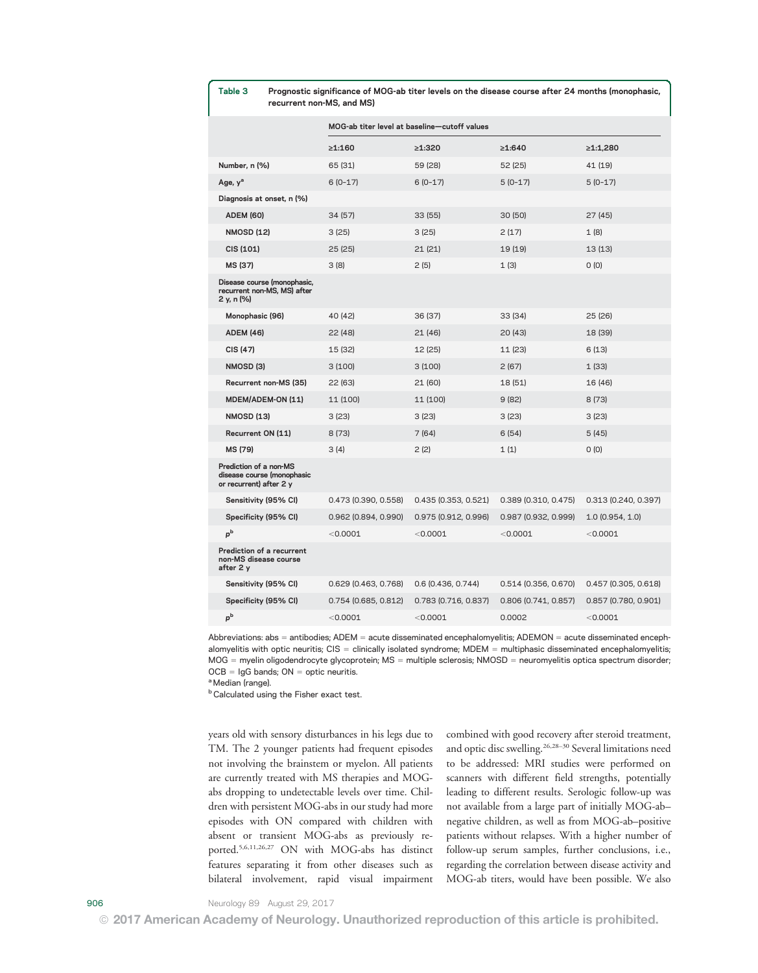#### Table 3 Prognostic significance of MOG-ab titer levels on the disease course after 24 months (monophasic, recurrent non-MS, and MS)

|                                                                                 | MOG-ab titer level at baseline-cutoff values |                      |                        |                        |  |
|---------------------------------------------------------------------------------|----------------------------------------------|----------------------|------------------------|------------------------|--|
|                                                                                 | $\geq 1:160$                                 | $\geq 1:320$         | $\geq 1:640$           | ≥1:1,280               |  |
| Number, n (%)                                                                   | 65 (31)                                      | 59 (28)              | 52(25)                 | 41 (19)                |  |
| Age, y <sup>a</sup>                                                             | $6(0-17)$                                    | 6 (0-17)             | $5(0-17)$              | $5(0-17)$              |  |
| Diagnosis at onset, n (%)                                                       |                                              |                      |                        |                        |  |
| <b>ADEM (60)</b>                                                                | 34(57)                                       | 33(55)               | 30(50)                 | 27(45)                 |  |
| <b>NMOSD (12)</b>                                                               | 3(25)                                        | 3(25)                | 2(17)                  | 1(8)                   |  |
| CIS (101)                                                                       | 25(25)                                       | 21(21)               | 19 (19)                | 13(13)                 |  |
| MS (37)                                                                         | 3(8)                                         | 2(5)                 | 1(3)                   | O(0)                   |  |
| Disease course (monophasic,<br>recurrent non-MS, MS) after<br>2 y, n (%)        |                                              |                      |                        |                        |  |
| Monophasic (96)                                                                 | 40 (42)                                      | 36 (37)              | 33 (34)                | 25(26)                 |  |
| <b>ADEM (46)</b>                                                                | 22(48)                                       | 21 (46)              | 20(43)                 | 18 (39)                |  |
| CIS (47)                                                                        | 15 (32)                                      | 12 (25)              | 11 (23)                | 6(13)                  |  |
| NMOSD <sub>(3)</sub>                                                            | 3(100)                                       | 3(100)               | 2(67)                  | 1(33)                  |  |
| Recurrent non-MS (35)                                                           | 22 (63)                                      | 21 (60)              | 18 (51)                | 16 (46)                |  |
| <b>MDEM/ADEM-ON (11)</b>                                                        | 11 (100)                                     | 11 (100)             | 9(82)                  | 8(73)                  |  |
| <b>NMOSD (13)</b>                                                               | 3 (23)                                       | 3(23)                | 3(23)                  | 3(23)                  |  |
| Recurrent ON (11)                                                               | 8(73)                                        | 7 (64)               | 6(54)                  | 5(45)                  |  |
| MS (79)                                                                         | 3 (4)                                        | 2(2)                 | 1(1)                   | O(0)                   |  |
| Prediction of a non-MS<br>disease course (monophasic<br>or recurrent) after 2 y |                                              |                      |                        |                        |  |
| Sensitivity (95% CI)                                                            | 0.473 (0.390, 0.558)                         | 0.435 (0.353, 0.521) | $0.389$ (0.310, 0.475) | 0.313 (0.240, 0.397)   |  |
| Specificity (95% CI)                                                            | 0.962 (0.894, 0.990)                         | 0.975 (0.912, 0.996) | 0.987 (0.932, 0.999)   | 1.0(0.954, 1.0)        |  |
| $p^b$                                                                           | < 0.0001                                     | < 0.0001             | < 0.0001               | < 0.0001               |  |
| Prediction of a recurrent<br>non-MS disease course<br>after 2 y                 |                                              |                      |                        |                        |  |
| Sensitivity (95% CI)                                                            | 0.629 (0.463, 0.768)                         | 0.6 (0.436, 0.744)   | $0.514$ (0.356, 0.670) | $0.457$ (0.305, 0.618) |  |
| Specificity (95% CI)                                                            | $0.754$ (0.685, 0.812)                       | 0.783 (0.716, 0.837) | $0.806$ (0.741, 0.857) | $0.857$ (0.780, 0.901) |  |
| $p^b$                                                                           | < 0.0001                                     | < 0.0001             | 0.0002                 | < 0.0001               |  |

Abbreviations: abs = antibodies;  $ADEM = acute$  disseminated encephalomyelitis;  $ADEMON = acute$  disseminated encephalomyelitis with optic neuritis;  $CIS =$  clinically isolated syndrome; MDEM = multiphasic disseminated encephalomyelitis; MOG = myelin oligodendrocyte glycoprotein; MS = multiple sclerosis; NMOSD = neuromyelitis optica spectrum disorder;  $OCB = IqG$  bands;  $ON =$  optic neuritis.

a Median (range).

**b** Calculated using the Fisher exact test.

years old with sensory disturbances in his legs due to TM. The 2 younger patients had frequent episodes not involving the brainstem or myelon. All patients are currently treated with MS therapies and MOGabs dropping to undetectable levels over time. Children with persistent MOG-abs in our study had more episodes with ON compared with children with absent or transient MOG-abs as previously reported.5,6,11,26,27 ON with MOG-abs has distinct features separating it from other diseases such as bilateral involvement, rapid visual impairment combined with good recovery after steroid treatment, and optic disc swelling.<sup>26,28-30</sup> Several limitations need to be addressed: MRI studies were performed on scanners with different field strengths, potentially leading to different results. Serologic follow-up was not available from a large part of initially MOG-ab– negative children, as well as from MOG-ab–positive patients without relapses. With a higher number of follow-up serum samples, further conclusions, i.e., regarding the correlation between disease activity and MOG-ab titers, would have been possible. We also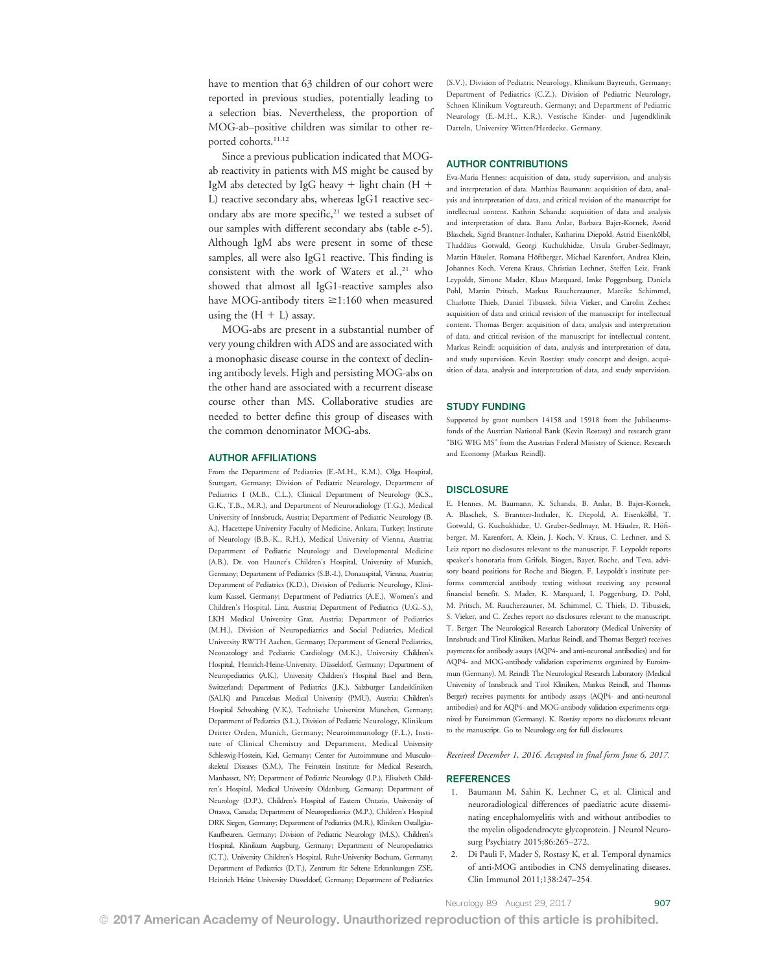have to mention that 63 children of our cohort were reported in previous studies, potentially leading to a selection bias. Nevertheless, the proportion of MOG-ab–positive children was similar to other reported cohorts.<sup>11,12</sup>

Since a previous publication indicated that MOGab reactivity in patients with MS might be caused by IgM abs detected by IgG heavy  $+$  light chain (H  $+$ L) reactive secondary abs, whereas IgG1 reactive secondary abs are more specific, $21$  we tested a subset of our samples with different secondary abs (table e-5). Although IgM abs were present in some of these samples, all were also IgG1 reactive. This finding is consistent with the work of Waters et al.,<sup>21</sup> who showed that almost all IgG1-reactive samples also have MOG-antibody titers  $\geq$ 1:160 when measured using the  $(H + L)$  assay.

MOG-abs are present in a substantial number of very young children with ADS and are associated with a monophasic disease course in the context of declining antibody levels. High and persisting MOG-abs on the other hand are associated with a recurrent disease course other than MS. Collaborative studies are needed to better define this group of diseases with the common denominator MOG-abs.

#### AUTHOR AFFILIATIONS

From the Department of Pediatrics (E.-M.H., K.M.), Olga Hospital, Stuttgart, Germany; Division of Pediatric Neurology, Department of Pediatrics I (M.B., C.L.), Clinical Department of Neurology (K.S., G.K., T.B., M.R.), and Department of Neuroradiology (T.G.), Medical University of Innsbruck, Austria; Department of Pediatric Neurology (B. A.), Hacettepe University Faculty of Medicine, Ankara, Turkey; Institute of Neurology (B.B.-K., R.H.), Medical University of Vienna, Austria; Department of Pediatric Neurology and Developmental Medicine (A.B.), Dr. von Hauner's Children's Hospital, University of Munich, Germany; Department of Pediatrics (S.B.-I.), Donauspital, Vienna, Austria; Department of Pediatrics (K.D.), Division of Pediatric Neurology, Klinikum Kassel, Germany; Department of Pediatrics (A.E.), Women's and Children's Hospital, Linz, Austria; Department of Pediatrics (U.G.-S.), LKH Medical University Graz, Austria; Department of Pediatrics (M.H.), Division of Neuropediatrics and Social Pediatrics, Medical University RWTH Aachen, Germany; Department of General Pediatrics, Neonatology and Pediatric Cardiology (M.K.), University Children's Hospital, Heinrich-Heine-University, Düsseldorf, Germany; Department of Neuropediatrics (A.K.), University Children's Hospital Basel and Bern, Switzerland; Department of Pediatrics (J.K.), Salzburger Landeskliniken (SALK) and Paracelsus Medical University (PMU), Austria; Children's Hospital Schwabing (V.K.), Technische Universität München, Germany; Department of Pediatrics (S.L.), Division of Pediatric Neurology, Klinikum Dritter Orden, Munich, Germany; Neuroimmunology (F.L.), Institute of Clinical Chemistry and Department, Medical University Schleswig-Hostein, Kiel, Germany; Center for Autoimmune and Musculoskeletal Diseases (S.M.), The Feinstein Institute for Medical Research, Manhasset, NY; Department of Pediatric Neurology (I.P.), Elisabeth Children's Hospital, Medical University Oldenburg, Germany; Department of Neurology (D.P.), Children's Hospital of Eastern Ontario, University of Ottawa, Canada; Department of Neuropediatrics (M.P.), Children's Hospital DRK Siegen, Germany; Department of Pediatrics (M.R.), Kliniken Ostallgäu-Kaufbeuren, Germany; Division of Pediatric Neurology (M.S.), Children's Hospital, Klinikum Augsburg, Germany; Department of Neuropediatrics (C.T.), University Children's Hospital, Ruhr-University Bochum, Germany; Department of Pediatrics (D.T.), Zentrum für Seltene Erkrankungen ZSE, Heinrich Heine University Düsseldorf, Germany; Department of Pediatrics

(S.V.), Division of Pediatric Neurology, Klinikum Bayreuth, Germany; Department of Pediatrics (C.Z.), Division of Pediatric Neurology, Schoen Klinikum Vogtareuth, Germany; and Department of Pediatric Neurology (E.-M.H., K.R.), Vestische Kinder- und Jugendklinik Datteln, University Witten/Herdecke, Germany.

#### AUTHOR CONTRIBUTIONS

Eva-Maria Hennes: acquisition of data, study supervision, and analysis and interpretation of data. Matthias Baumann: acquisition of data, analysis and interpretation of data, and critical revision of the manuscript for intellectual content. Kathrin Schanda: acquisition of data and analysis and interpretation of data. Banu Anlar, Barbara Bajer-Kornek, Astrid Blaschek, Sigrid Brantner-Inthaler, Katharina Diepold, Astrid Eisenkölbl, Thaddäus Gotwald, Georgi Kuchukhidze, Ursula Gruber-Sedlmayr, Martin Häusler, Romana Höftberger, Michael Karenfort, Andrea Klein, Johannes Koch, Verena Kraus, Christian Lechner, Steffen Leiz, Frank Leypoldt, Simone Mader, Klaus Marquard, Imke Poggenburg, Daniela Pohl, Martin Pritsch, Markus Raucherzauner, Mareike Schimmel, Charlotte Thiels, Daniel Tibussek, Silvia Vieker, and Carolin Zeches: acquisition of data and critical revision of the manuscript for intellectual content. Thomas Berger: acquisition of data, analysis and interpretation of data, and critical revision of the manuscript for intellectual content. Markus Reindl: acquisition of data, analysis and interpretation of data, and study supervision. Kevin Rostásy: study concept and design, acquisition of data, analysis and interpretation of data, and study supervision.

#### STUDY FUNDING

Supported by grant numbers 14158 and 15918 from the Jubilaeumsfonds of the Austrian National Bank (Kevin Rostasy) and research grant "BIG WIG MS" from the Austrian Federal Ministry of Science, Research and Economy (Markus Reindl).

#### **DISCLOSURE**

E. Hennes, M. Baumann, K. Schanda, B. Anlar, B. Bajer-Kornek, A. Blaschek, S. Brantner-Inthaler, K. Diepold, A. Eisenkölbl, T. Gotwald, G. Kuchukhidze, U. Gruber-Sedlmayr, M. Häusler, R. Höftberger, M. Karenfort, A. Klein, J. Koch, V. Kraus, C. Lechner, and S. Leiz report no disclosures relevant to the manuscript. F. Leypoldt reports speaker's honoraria from Grifols, Biogen, Bayer, Roche, and Teva, advisory board positions for Roche and Biogen. F. Leypoldt's institute performs commercial antibody testing without receiving any personal financial benefit. S. Mader, K. Marquard, I. Poggenburg, D. Pohl, M. Pritsch, M. Raucherzauner, M. Schimmel, C. Thiels, D. Tibussek, S. Vieker, and C. Zeches report no disclosures relevant to the manuscript. T. Berger: The Neurological Research Laboratory (Medical University of Innsbruck and Tirol Kliniken, Markus Reindl, and Thomas Berger) receives payments for antibody assays (AQP4- and anti-neuronal antibodies) and for AQP4- and MOG-antibody validation experiments organized by Euroimmun (Germany). M. Reindl: The Neurological Research Laboratory (Medical University of Innsbruck and Tirol Kliniken, Markus Reindl, and Thomas Berger) receives payments for antibody assays (AQP4- and anti-neuronal antibodies) and for AQP4- and MOG-antibody validation experiments organized by Euroimmun (Germany). K. Rostásy reports no disclosures relevant to the manuscript. Go to [Neurology.org](http://neurology.org/lookup/doi/10.1212/WNL.0000000000004312) for full disclosures.

Received December 1, 2016. Accepted in final form June 6, 2017.

#### **REFERENCES**

- 1. Baumann M, Sahin K, Lechner C, et al. Clinical and neuroradiological differences of paediatric acute disseminating encephalomyelitis with and without antibodies to the myelin oligodendrocyte glycoprotein. J Neurol Neurosurg Psychiatry 2015;86:265–272.
- 2. Di Pauli F, Mader S, Rostasy K, et al. Temporal dynamics of anti-MOG antibodies in CNS demyelinating diseases. Clin Immunol 2011;138:247–254.

Neurology 89 August 29, 2017 907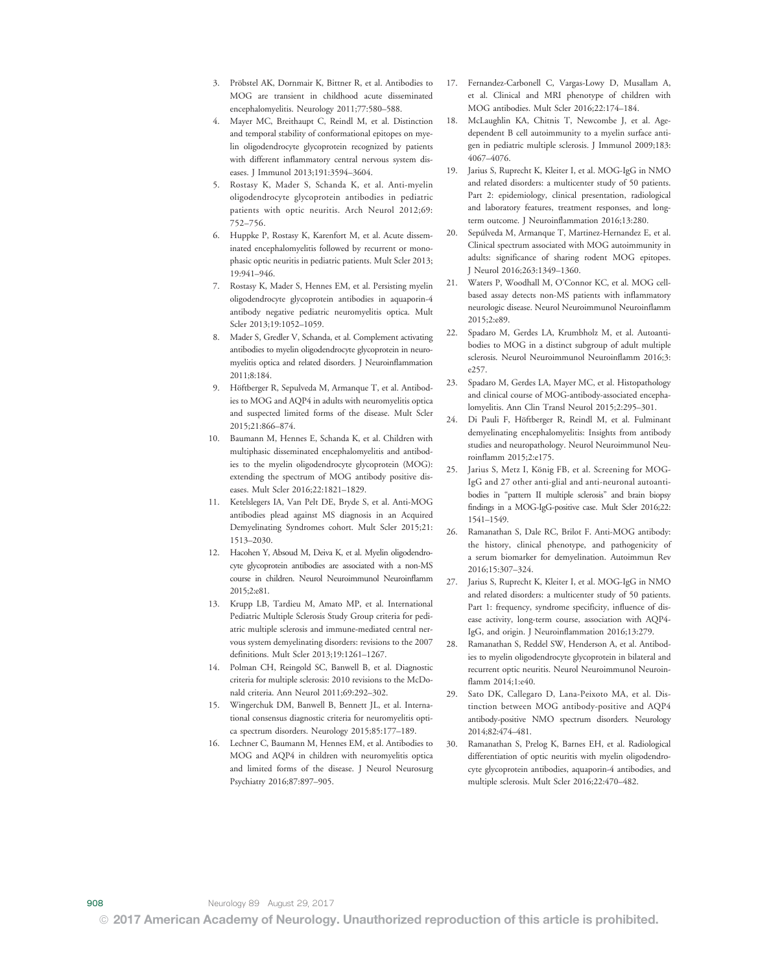- 3. Pröbstel AK, Dornmair K, Bittner R, et al. Antibodies to MOG are transient in childhood acute disseminated encephalomyelitis. Neurology 2011;77:580–588.
- 4. Mayer MC, Breithaupt C, Reindl M, et al. Distinction and temporal stability of conformational epitopes on myelin oligodendrocyte glycoprotein recognized by patients with different inflammatory central nervous system diseases. J Immunol 2013;191:3594–3604.
- 5. Rostasy K, Mader S, Schanda K, et al. Anti-myelin oligodendrocyte glycoprotein antibodies in pediatric patients with optic neuritis. Arch Neurol 2012;69: 752–756.
- 6. Huppke P, Rostasy K, Karenfort M, et al. Acute disseminated encephalomyelitis followed by recurrent or monophasic optic neuritis in pediatric patients. Mult Scler 2013; 19:941–946.
- 7. Rostasy K, Mader S, Hennes EM, et al. Persisting myelin oligodendrocyte glycoprotein antibodies in aquaporin-4 antibody negative pediatric neuromyelitis optica. Mult Scler 2013;19:1052–1059.
- 8. Mader S, Gredler V, Schanda, et al. Complement activating antibodies to myelin oligodendrocyte glycoprotein in neuromyelitis optica and related disorders. J Neuroinflammation 2011;8:184.
- 9. Höftberger R, Sepulveda M, Armanque T, et al. Antibodies to MOG and AQP4 in adults with neuromyelitis optica and suspected limited forms of the disease. Mult Scler 2015;21:866–874.
- 10. Baumann M, Hennes E, Schanda K, et al. Children with multiphasic disseminated encephalomyelitis and antibodies to the myelin oligodendrocyte glycoprotein (MOG): extending the spectrum of MOG antibody positive diseases. Mult Scler 2016;22:1821–1829.
- 11. Ketelslegers IA, Van Pelt DE, Bryde S, et al. Anti-MOG antibodies plead against MS diagnosis in an Acquired Demyelinating Syndromes cohort. Mult Scler 2015;21: 1513–2030.
- 12. Hacohen Y, Absoud M, Deiva K, et al. Myelin oligodendrocyte glycoprotein antibodies are associated with a non-MS course in children. Neurol Neuroimmunol Neuroinflamm 2015;2:e81.
- 13. Krupp LB, Tardieu M, Amato MP, et al. International Pediatric Multiple Sclerosis Study Group criteria for pediatric multiple sclerosis and immune-mediated central nervous system demyelinating disorders: revisions to the 2007 definitions. Mult Scler 2013;19:1261–1267.
- 14. Polman CH, Reingold SC, Banwell B, et al. Diagnostic criteria for multiple sclerosis: 2010 revisions to the McDonald criteria. Ann Neurol 2011;69:292–302.
- 15. Wingerchuk DM, Banwell B, Bennett JL, et al. International consensus diagnostic criteria for neuromyelitis optica spectrum disorders. Neurology 2015;85:177–189.
- 16. Lechner C, Baumann M, Hennes EM, et al. Antibodies to MOG and AQP4 in children with neuromyelitis optica and limited forms of the disease. J Neurol Neurosurg Psychiatry 2016;87:897–905.
- 17. Fernandez-Carbonell C, Vargas-Lowy D, Musallam A, et al. Clinical and MRI phenotype of children with MOG antibodies. Mult Scler 2016;22:174–184.
- 18. McLaughlin KA, Chitnis T, Newcombe J, et al. Agedependent B cell autoimmunity to a myelin surface antigen in pediatric multiple sclerosis. J Immunol 2009;183: 4067–4076.
- 19. Jarius S, Ruprecht K, Kleiter I, et al. MOG-IgG in NMO and related disorders: a multicenter study of 50 patients. Part 2: epidemiology, clinical presentation, radiological and laboratory features, treatment responses, and longterm outcome. J Neuroinflammation 2016;13:280.
- 20. Sepúlveda M, Armanque T, Martinez-Hernandez E, et al. Clinical spectrum associated with MOG autoimmunity in adults: significance of sharing rodent MOG epitopes. J Neurol 2016;263:1349–1360.
- 21. Waters P, Woodhall M, O'Connor KC, et al. MOG cellbased assay detects non-MS patients with inflammatory neurologic disease. Neurol Neuroimmunol Neuroinflamm 2015;2:e89.
- 22. Spadaro M, Gerdes LA, Krumbholz M, et al. Autoantibodies to MOG in a distinct subgroup of adult multiple sclerosis. Neurol Neuroimmunol Neuroinflamm 2016;3: e257.
- 23. Spadaro M, Gerdes LA, Mayer MC, et al. Histopathology and clinical course of MOG-antibody-associated encephalomyelitis. Ann Clin Transl Neurol 2015;2:295–301.
- 24. Di Pauli F, Höftberger R, Reindl M, et al. Fulminant demyelinating encephalomyelitis: Insights from antibody studies and neuropathology. Neurol Neuroimmunol Neuroinflamm 2015;2:e175.
- 25. Jarius S, Metz I, König FB, et al. Screening for MOG-IgG and 27 other anti-glial and anti-neuronal autoantibodies in "pattern II multiple sclerosis" and brain biopsy findings in a MOG-IgG-positive case. Mult Scler 2016;22: 1541–1549.
- 26. Ramanathan S, Dale RC, Brilot F. Anti-MOG antibody: the history, clinical phenotype, and pathogenicity of a serum biomarker for demyelination. Autoimmun Rev 2016;15:307–324.
- 27. Jarius S, Ruprecht K, Kleiter I, et al. MOG-IgG in NMO and related disorders: a multicenter study of 50 patients. Part 1: frequency, syndrome specificity, influence of disease activity, long-term course, association with AQP4- IgG, and origin. J Neuroinflammation 2016;13:279.
- 28. Ramanathan S, Reddel SW, Henderson A, et al. Antibodies to myelin oligodendrocyte glycoprotein in bilateral and recurrent optic neuritis. Neurol Neuroimmunol Neuroinflamm 2014;1:e40.
- 29. Sato DK, Callegaro D, Lana-Peixoto MA, et al. Distinction between MOG antibody-positive and AQP4 antibody-positive NMO spectrum disorders. Neurology 2014;82:474–481.
- 30. Ramanathan S, Prelog K, Barnes EH, et al. Radiological differentiation of optic neuritis with myelin oligodendrocyte glycoprotein antibodies, aquaporin-4 antibodies, and multiple sclerosis. Mult Scler 2016;22:470–482.

© 2017 American Academy of Neurology. Unauthorized reproduction of this article is prohibited.